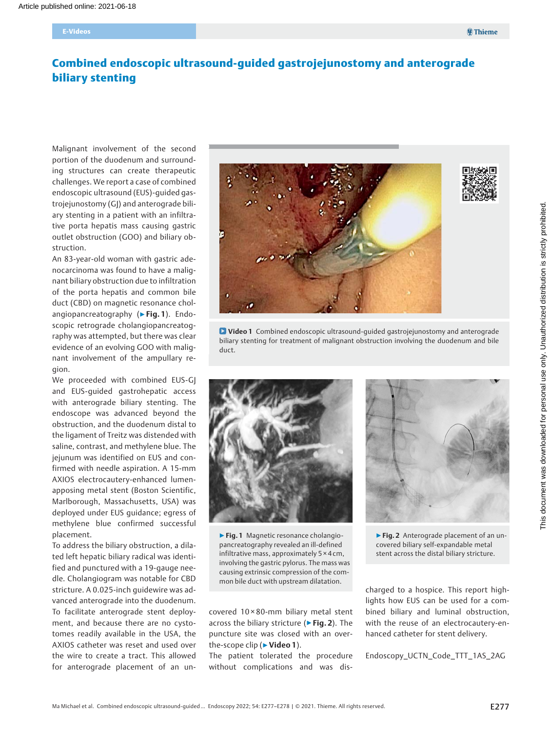# Combined endoscopic ultrasound-guided gastrojejunostomy and anterograde biliary stenting

Malignant involvement of the second portion of the duodenum and surrounding structures can create therapeutic challenges. We report a case of combined endoscopic ultrasound (EUS)-guided gastrojejunostomy (GJ) and anterograde biliary stenting in a patient with an infiltrative porta hepatis mass causing gastric outlet obstruction (GOO) and biliary obstruction.

An 83-year-old woman with gastric adenocarcinoma was found to have a malignant biliary obstruction due to infiltration of the porta hepatis and common bile duct (CBD) on magnetic resonance cholangiopancreatography ( $\triangleright$  Fig. 1). Endoscopic retrograde cholangiopancreatography was attempted, but there was clear evidence of an evolving GOO with malignant involvement of the ampullary region.

We proceeded with combined EUS-GJ and EUS-guided gastrohepatic access with anterograde biliary stenting. The endoscope was advanced beyond the obstruction, and the duodenum distal to the ligament of Treitz was distended with saline, contrast, and methylene blue. The jejunum was identified on EUS and confirmed with needle aspiration. A 15-mm AXIOS electrocautery-enhanced lumenapposing metal stent (Boston Scientific, Marlborough, Massachusetts, USA) was deployed under EUS guidance; egress of methylene blue confirmed successful placement.

To address the biliary obstruction, a dilated left hepatic biliary radical was identified and punctured with a 19-gauge needle. Cholangiogram was notable for CBD stricture. A 0.025-inch guidewire was advanced anterograde into the duodenum. To facilitate anterograde stent deployment, and because there are no cystotomes readily available in the USA, the AXIOS catheter was reset and used over the wire to create a tract. This allowed for anterograde placement of an un-



Video 1 Combined endoscopic ultrasound-guided gastrojejunostomy and anterograde biliary stenting for treatment of malignant obstruction involving the duodenum and bile duct.



▶Fig. 1 Magnetic resonance cholangiopancreatography revealed an ill-defined infiltrative mass, approximately 5 × 4 cm, involving the gastric pylorus. The mass was causing extrinsic compression of the common bile duct with upstream dilatation.

covered 10 × 80-mm biliary metal stent across the biliary stricture (► Fig. 2). The puncture site was closed with an overthe-scope clip (▶ Video 1).

The patient tolerated the procedure without complications and was dis-



▶Fig. 2 Anterograde placement of an uncovered biliary self-expandable metal stent across the distal biliary stricture.

charged to a hospice. This report highlights how EUS can be used for a combined biliary and luminal obstruction, with the reuse of an electrocautery-enhanced catheter for stent delivery.

Endoscopy\_UCTN\_Code\_TTT\_1AS\_2AG